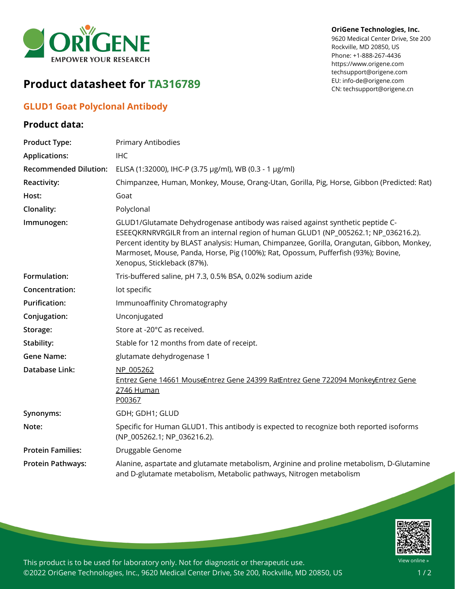

# **Product datasheet for TA316789**

## **GLUD1 Goat Polyclonal Antibody**

### **Product data:**

#### **OriGene Technologies, Inc.**

9620 Medical Center Drive, Ste 200 Rockville, MD 20850, US Phone: +1-888-267-4436 https://www.origene.com techsupport@origene.com EU: info-de@origene.com CN: techsupport@origene.cn

| <b>Product Type:</b>         | Primary Antibodies                                                                                                                                                                                                                                                                                                                                                                      |
|------------------------------|-----------------------------------------------------------------------------------------------------------------------------------------------------------------------------------------------------------------------------------------------------------------------------------------------------------------------------------------------------------------------------------------|
| <b>Applications:</b>         | <b>IHC</b>                                                                                                                                                                                                                                                                                                                                                                              |
| <b>Recommended Dilution:</b> | ELISA (1:32000), IHC-P (3.75 µg/ml), WB (0.3 - 1 µg/ml)                                                                                                                                                                                                                                                                                                                                 |
| Reactivity:                  | Chimpanzee, Human, Monkey, Mouse, Orang-Utan, Gorilla, Pig, Horse, Gibbon (Predicted: Rat)                                                                                                                                                                                                                                                                                              |
| Host:                        | Goat                                                                                                                                                                                                                                                                                                                                                                                    |
| Clonality:                   | Polyclonal                                                                                                                                                                                                                                                                                                                                                                              |
| Immunogen:                   | GLUD1/Glutamate Dehydrogenase antibody was raised against synthetic peptide C-<br>ESEEQKRNRVRGILR from an internal region of human GLUD1 (NP_005262.1; NP_036216.2).<br>Percent identity by BLAST analysis: Human, Chimpanzee, Gorilla, Orangutan, Gibbon, Monkey,<br>Marmoset, Mouse, Panda, Horse, Pig (100%); Rat, Opossum, Pufferfish (93%); Bovine,<br>Xenopus, Stickleback (87%). |
| Formulation:                 | Tris-buffered saline, pH 7.3, 0.5% BSA, 0.02% sodium azide                                                                                                                                                                                                                                                                                                                              |
| Concentration:               | lot specific                                                                                                                                                                                                                                                                                                                                                                            |
| <b>Purification:</b>         | Immunoaffinity Chromatography                                                                                                                                                                                                                                                                                                                                                           |
| Conjugation:                 | Unconjugated                                                                                                                                                                                                                                                                                                                                                                            |
| Storage:                     | Store at -20°C as received.                                                                                                                                                                                                                                                                                                                                                             |
| Stability:                   | Stable for 12 months from date of receipt.                                                                                                                                                                                                                                                                                                                                              |
| <b>Gene Name:</b>            | glutamate dehydrogenase 1                                                                                                                                                                                                                                                                                                                                                               |
| Database Link:               | NP 005262<br>Entrez Gene 14661 MouseEntrez Gene 24399 RatEntrez Gene 722094 MonkeyEntrez Gene<br>2746 Human<br>P00367                                                                                                                                                                                                                                                                   |
| Synonyms:                    | GDH; GDH1; GLUD                                                                                                                                                                                                                                                                                                                                                                         |
| Note:                        | Specific for Human GLUD1. This antibody is expected to recognize both reported isoforms<br>(NP_005262.1; NP_036216.2).                                                                                                                                                                                                                                                                  |
| <b>Protein Families:</b>     | Druggable Genome                                                                                                                                                                                                                                                                                                                                                                        |
| <b>Protein Pathways:</b>     | Alanine, aspartate and glutamate metabolism, Arginine and proline metabolism, D-Glutamine<br>and D-glutamate metabolism, Metabolic pathways, Nitrogen metabolism                                                                                                                                                                                                                        |



This product is to be used for laboratory only. Not for diagnostic or therapeutic use. ©2022 OriGene Technologies, Inc., 9620 Medical Center Drive, Ste 200, Rockville, MD 20850, US